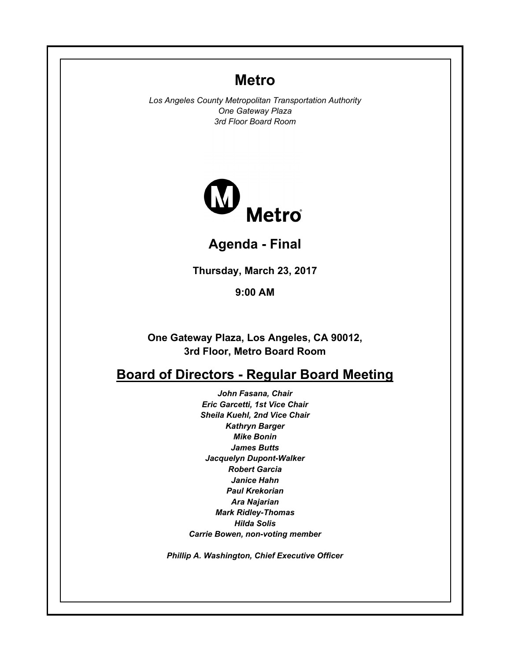# **Metro**

*Los Angeles County Metropolitan Transportation Authority One Gateway Plaza 3rd Floor Board Room*



**Agenda - Final**

**Thursday, March 23, 2017**

**9:00 AM**

**One Gateway Plaza, Los Angeles, CA 90012, 3rd Floor, Metro Board Room**

# **Board of Directors - Regular Board Meeting**

*John Fasana, Chair Eric Garcetti, 1st Vice Chair Sheila Kuehl, 2nd Vice Chair Kathryn Barger Mike Bonin James Butts Jacquelyn Dupont-Walker Robert Garcia Janice Hahn Paul Krekorian Ara Najarian Mark Ridley-Thomas Hilda Solis Carrie Bowen, non-voting member*

*Phillip A. Washington, Chief Executive Officer*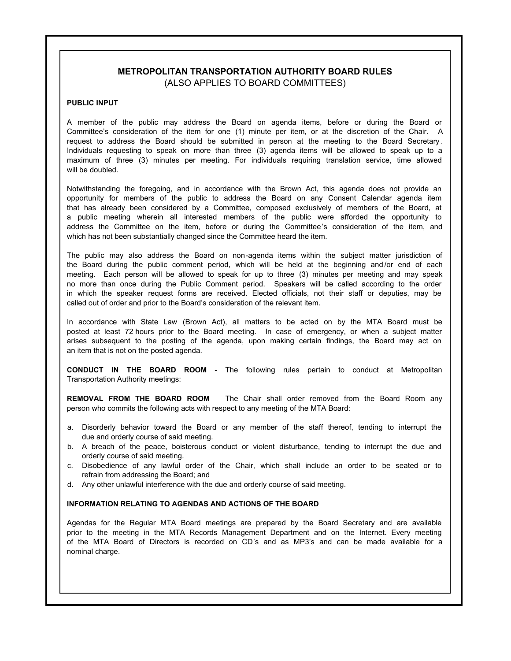#### **METROPOLITAN TRANSPORTATION AUTHORITY BOARD RULES** (ALSO APPLIES TO BOARD COMMITTEES)

#### **PUBLIC INPUT**

A member of the public may address the Board on agenda items, before or during the Board or Committee's consideration of the item for one (1) minute per item, or at the discretion of the Chair. A request to address the Board should be submitted in person at the meeting to the Board Secretary . Individuals requesting to speak on more than three (3) agenda items will be allowed to speak up to a maximum of three (3) minutes per meeting. For individuals requiring translation service, time allowed will be doubled.

Notwithstanding the foregoing, and in accordance with the Brown Act, this agenda does not provide an opportunity for members of the public to address the Board on any Consent Calendar agenda item that has already been considered by a Committee, composed exclusively of members of the Board, at a public meeting wherein all interested members of the public were afforded the opportunity to address the Committee on the item, before or during the Committee's consideration of the item, and which has not been substantially changed since the Committee heard the item.

The public may also address the Board on non-agenda items within the subject matter jurisdiction of the Board during the public comment period, which will be held at the beginning and /or end of each meeting. Each person will be allowed to speak for up to three (3) minutes per meeting and may speak no more than once during the Public Comment period. Speakers will be called according to the order in which the speaker request forms are received. Elected officials, not their staff or deputies, may be called out of order and prior to the Board's consideration of the relevant item.

In accordance with State Law (Brown Act), all matters to be acted on by the MTA Board must be posted at least 72 hours prior to the Board meeting. In case of emergency, or when a subject matter arises subsequent to the posting of the agenda, upon making certain findings, the Board may act on an item that is not on the posted agenda.

**CONDUCT IN THE BOARD ROOM** - The following rules pertain to conduct at Metropolitan Transportation Authority meetings:

**REMOVAL FROM THE BOARD ROOM** The Chair shall order removed from the Board Room any person who commits the following acts with respect to any meeting of the MTA Board:

- a. Disorderly behavior toward the Board or any member of the staff thereof, tending to interrupt the due and orderly course of said meeting.
- b. A breach of the peace, boisterous conduct or violent disturbance, tending to interrupt the due and orderly course of said meeting.
- c. Disobedience of any lawful order of the Chair, which shall include an order to be seated or to refrain from addressing the Board; and
- d. Any other unlawful interference with the due and orderly course of said meeting.

#### **INFORMATION RELATING TO AGENDAS AND ACTIONS OF THE BOARD**

Agendas for the Regular MTA Board meetings are prepared by the Board Secretary and are available prior to the meeting in the MTA Records Management Department and on the Internet. Every meeting of the MTA Board of Directors is recorded on CD's and as MP3's and can be made available for a nominal charge.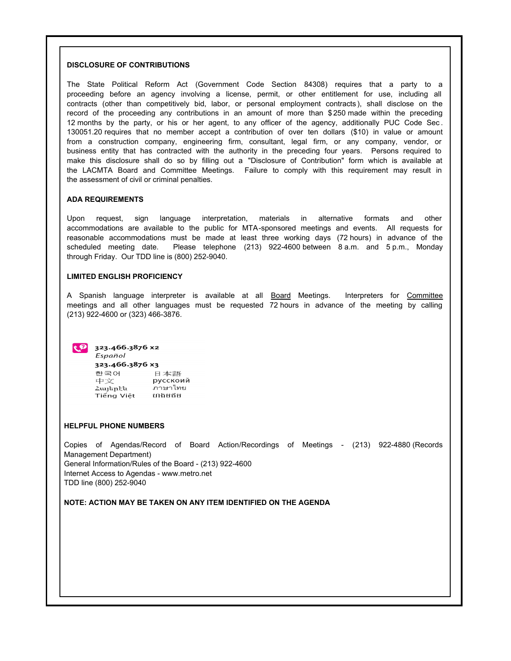#### **DISCLOSURE OF CONTRIBUTIONS**

The State Political Reform Act (Government Code Section 84308) requires that a party to a proceeding before an agency involving a license, permit, or other entitlement for use, including all contracts (other than competitively bid, labor, or personal employment contracts ), shall disclose on the record of the proceeding any contributions in an amount of more than \$ 250 made within the preceding 12 months by the party, or his or her agent, to any officer of the agency, additionally PUC Code Sec . 130051.20 requires that no member accept a contribution of over ten dollars (\$10) in value or amount from a construction company, engineering firm, consultant, legal firm, or any company, vendor, or business entity that has contracted with the authority in the preceding four years. Persons required to make this disclosure shall do so by filling out a "Disclosure of Contribution" form which is available at the LACMTA Board and Committee Meetings. Failure to comply with this requirement may result in the assessment of civil or criminal penalties.

#### **ADA REQUIREMENTS**

Upon request, sign language interpretation, materials in alternative formats and other accommodations are available to the public for MTA-sponsored meetings and events. All requests for reasonable accommodations must be made at least three working days (72 hours) in advance of the scheduled meeting date. Please telephone (213) 922-4600 between 8 a.m. and 5 p.m., Monday through Friday. Our TDD line is (800) 252-9040.

#### **LIMITED ENGLISH PROFICIENCY**

A Spanish language interpreter is available at all Board Meetings. Interpreters for Committee meetings and all other languages must be requested 72 hours in advance of the meeting by calling (213) 922-4600 or (323) 466-3876.



 $\left| \cdot \right|$  323.466.3876 x2

Español 323.466.3876 x3 한국어 日本語 中文 русскоий ภาษาไทย Հայերէն Tiếng Việt Municipal

#### **HELPFUL PHONE NUMBERS**

Copies of Agendas/Record of Board Action/Recordings of Meetings - (213) 922-4880 (Records Management Department) General Information/Rules of the Board - (213) 922-4600 Internet Access to Agendas - www.metro.net TDD line (800) 252-9040

#### **NOTE: ACTION MAY BE TAKEN ON ANY ITEM IDENTIFIED ON THE AGENDA**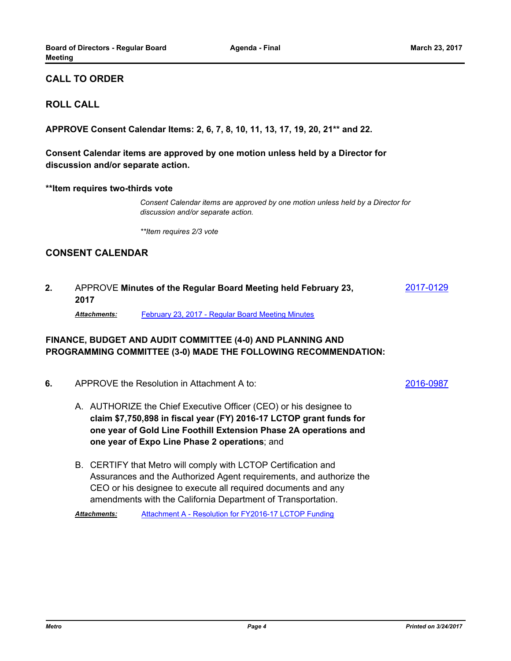## **CALL TO ORDER**

#### **ROLL CALL**

**APPROVE Consent Calendar Items: 2, 6, 7, 8, 10, 11, 13, 17, 19, 20, 21\*\* and 22.**

**Consent Calendar items are approved by one motion unless held by a Director for discussion and/or separate action.**

#### **\*\*Item requires two-thirds vote**

*Consent Calendar items are approved by one motion unless held by a Director for discussion and/or separate action.*

*\*\*Item requires 2/3 vote*

## **CONSENT CALENDAR**

2. APPROVE Minutes of the Regular Board Meeting held February 23, [2017-0129](http://metro.legistar.com/gateway.aspx?m=l&id=/matter.aspx?key=3939) **2017**

*Attachments:* [February 23, 2017 - Regular Board Meeting Minutes](http://metro.legistar.com/gateway.aspx?M=F&ID=86346643-927b-481e-ac2d-1305ecf10e8a.pdf)

#### **FINANCE, BUDGET AND AUDIT COMMITTEE (4-0) AND PLANNING AND PROGRAMMING COMMITTEE (3-0) MADE THE FOLLOWING RECOMMENDATION:**

- APPROVE the Resolution in Attachment A to: **6.** [2016-0987](http://metro.legistar.com/gateway.aspx?m=l&id=/matter.aspx?key=3783)
	- A. AUTHORIZE the Chief Executive Officer (CEO) or his designee to **claim \$7,750,898 in fiscal year (FY) 2016-17 LCTOP grant funds for one year of Gold Line Foothill Extension Phase 2A operations and one year of Expo Line Phase 2 operations**; and
	- B. CERTIFY that Metro will comply with LCTOP Certification and Assurances and the Authorized Agent requirements, and authorize the CEO or his designee to execute all required documents and any amendments with the California Department of Transportation.

*Attachments:* [Attachment A - Resolution for FY2016-17 LCTOP Funding](http://metro.legistar.com/gateway.aspx?M=F&ID=9cdc1e93-0c11-4fee-b34a-43af2231b5c4.pdf)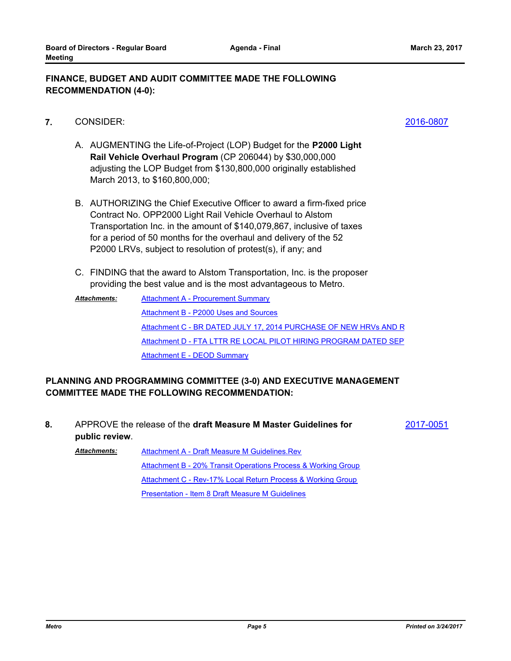#### **FINANCE, BUDGET AND AUDIT COMMITTEE MADE THE FOLLOWING RECOMMENDATION (4-0):**

- CONSIDER: **7.** [2016-0807](http://metro.legistar.com/gateway.aspx?m=l&id=/matter.aspx?key=3600)
	- A. AUGMENTING the Life-of-Project (LOP) Budget for the **P2000 Light Rail Vehicle Overhaul Program** (CP 206044) by \$30,000,000 adjusting the LOP Budget from \$130,800,000 originally established March 2013, to \$160,800,000;
	- B. AUTHORIZING the Chief Executive Officer to award a firm-fixed price Contract No. OPP2000 Light Rail Vehicle Overhaul to Alstom Transportation Inc. in the amount of \$140,079,867, inclusive of taxes for a period of 50 months for the overhaul and delivery of the 52 P2000 LRVs, subject to resolution of protest(s), if any; and
	- C. FINDING that the award to Alstom Transportation, Inc. is the proposer providing the best value and is the most advantageous to Metro.
	- **[Attachment A Procurement Summary](http://metro.legistar.com/gateway.aspx?M=F&ID=46dca696-2bb0-4dda-8969-83a42ea8acf5.pdf)** [Attachment B - P2000 Uses and Sources](http://metro.legistar.com/gateway.aspx?M=F&ID=3a6c6eef-adee-4b33-8245-87eaf0497a5a.pdf) [Attachment C - BR DATED JULY 17, 2014 PURCHASE OF NEW HRVs AND R](http://metro.legistar.com/gateway.aspx?M=F&ID=4865c1a2-c1b0-4f37-9efa-29fb7d84bc5c.pdf) [Attachment D - FTA LTTR RE LOCAL PILOT HIRING PROGRAM DATED SEP](http://metro.legistar.com/gateway.aspx?M=F&ID=6021c8c7-40a2-4b66-8293-0f8b637d296a.pdf) [Attachment E - DEOD Summary](http://metro.legistar.com/gateway.aspx?M=F&ID=61b06596-97df-4636-987c-fc33c7f2a349.pdf) *Attachments:*

## **PLANNING AND PROGRAMMING COMMITTEE (3-0) AND EXECUTIVE MANAGEMENT COMMITTEE MADE THE FOLLOWING RECOMMENDATION:**

APPROVE the release of the **draft Measure M Master Guidelines for 8.** [2017-0051](http://metro.legistar.com/gateway.aspx?m=l&id=/matter.aspx?key=3861) **public review**. [Attachment A - Draft Measure M Guidelines.Rev](http://metro.legistar.com/gateway.aspx?M=F&ID=ede47cc8-67d2-49b6-99b5-5dd575f9a9d4.pdf) [Attachment B - 20% Transit Operations Process & Working Group](http://metro.legistar.com/gateway.aspx?M=F&ID=02b0233a-d28c-4708-a48f-3b56b282be11.pdf) *Attachments:*

[Attachment C - Rev-17% Local Return Process & Working Group](http://metro.legistar.com/gateway.aspx?M=F&ID=6be840e2-10d4-40e0-9ac4-03b1b0526840.pdf)

[Presentation - Item 8 Draft Measure M Guidelines](http://metro.legistar.com/gateway.aspx?M=F&ID=87d9a1d4-eedb-4c68-a558-8e7d8ad29615.pdf)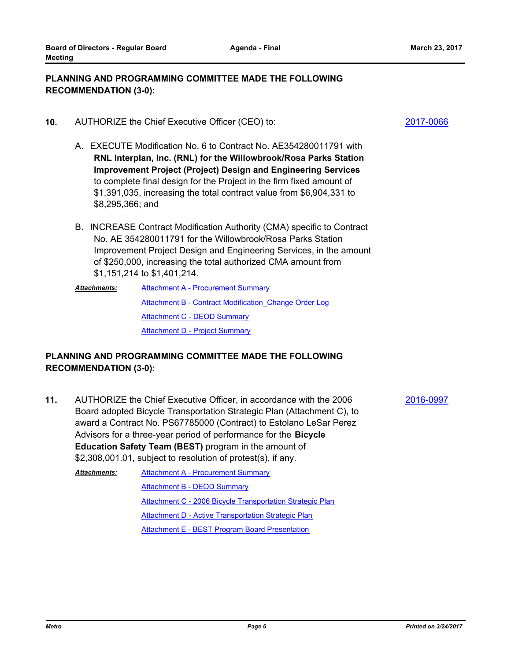**Meeting**

#### **PLANNING AND PROGRAMMING COMMITTEE MADE THE FOLLOWING RECOMMENDATION (3-0):**

- **10.** AUTHORIZE the Chief Executive Officer (CEO) to:  $\frac{2017-0066}{201}$  $\frac{2017-0066}{201}$  $\frac{2017-0066}{201}$ 
	- A. EXECUTE Modification No. 6 to Contract No. AE354280011791 with **RNL Interplan, Inc. (RNL) for the Willowbrook/Rosa Parks Station Improvement Project (Project) Design and Engineering Services** to complete final design for the Project in the firm fixed amount of \$1,391,035, increasing the total contract value from \$6,904,331 to \$8,295,366; and

**Agenda - Final**

- B. INCREASE Contract Modification Authority (CMA) specific to Contract No. AE 354280011791 for the Willowbrook/Rosa Parks Station Improvement Project Design and Engineering Services, in the amount of \$250,000, increasing the total authorized CMA amount from \$1,151,214 to \$1,401,214.
- **[Attachment A Procurement Summary](http://metro.legistar.com/gateway.aspx?M=F&ID=e6a53194-75a5-4cdb-87c8-c0f8fe3c26d2.pdf)** [Attachment B - Contract Modification\\_Change Order Log](http://metro.legistar.com/gateway.aspx?M=F&ID=8d6c3f26-a723-49f0-b594-53228d7e1fa1.pdf) **[Attachment C - DEOD Summary](http://metro.legistar.com/gateway.aspx?M=F&ID=b1d796cc-1aaa-4c43-806c-7c3e0a2b5d4e.pdf) [Attachment D - Project Summary](http://metro.legistar.com/gateway.aspx?M=F&ID=6c0f02e6-b5fb-401b-8a5b-4a72c6f17c8f.pdf)** *Attachments:*

## **PLANNING AND PROGRAMMING COMMITTEE MADE THE FOLLOWING RECOMMENDATION (3-0):**

11. AUTHORIZE the Chief Executive Officer, in accordance with the 2006 **[2016-0997](http://metro.legistar.com/gateway.aspx?m=l&id=/matter.aspx?key=3793)** Board adopted Bicycle Transportation Strategic Plan (Attachment C), to award a Contract No. PS67785000 (Contract) to Estolano LeSar Perez Advisors for a three-year period of performance for the **Bicycle Education Safety Team (BEST)** program in the amount of \$2,308,001.01, subject to resolution of protest(s), if any.

**[Attachment A - Procurement Summary](http://metro.legistar.com/gateway.aspx?M=F&ID=01d7d80b-db8f-4345-8f94-ce83b63f8daa.pdf)** [Attachment B - DEOD Summary](http://metro.legistar.com/gateway.aspx?M=F&ID=f07d2b60-6a87-4cf4-b3d0-848964e462b4.pdf) [Attachment C - 2006 Bicycle Transportation Strategic Plan](http://metro.legistar.com/gateway.aspx?M=F&ID=5ffb8704-ab8d-4509-85e9-f7c385a9dc0e.pdf) [Attachment D - Active Transportation Strategic Plan](http://metro.legistar.com/gateway.aspx?M=F&ID=fd8dcb5f-1dcb-4812-880c-9ca6e314f18b.pdf) [Attachment E - BEST Program Board Presentation](http://metro.legistar.com/gateway.aspx?M=F&ID=3779b850-7d05-4b55-8d72-c4b5b1db0135.pdf) *Attachments:*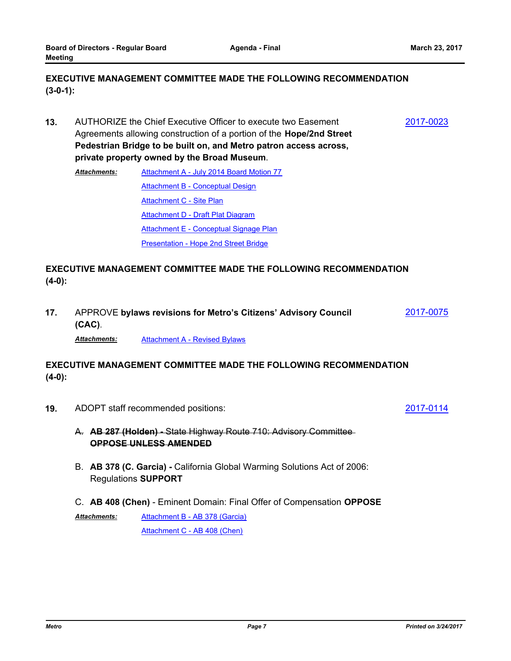## **EXECUTIVE MANAGEMENT COMMITTEE MADE THE FOLLOWING RECOMMENDATION (3-0-1):**

AUTHORIZE the Chief Executive Officer to execute two Easement **13.** [2017-0023](http://metro.legistar.com/gateway.aspx?m=l&id=/matter.aspx?key=3833) Agreements allowing construction of a portion of the **Hope/2nd Street Pedestrian Bridge to be built on, and Metro patron access across, private property owned by the Broad Museum**.

[Attachment A - July 2014 Board Motion 77](http://metro.legistar.com/gateway.aspx?M=F&ID=8cc4d21b-a3c1-46d9-8fd6-9992999948c8.pdf) [Attachment B - Conceptual Design](http://metro.legistar.com/gateway.aspx?M=F&ID=bf3a24c5-3d41-4233-808f-481dc1362059.pdf) [Attachment C - Site Plan](http://metro.legistar.com/gateway.aspx?M=F&ID=82af7c9f-80d1-423f-9cee-9801a9f4997a.pdf) [Attachment D - Draft Plat Diagram](http://metro.legistar.com/gateway.aspx?M=F&ID=1a47a9c6-d508-486c-b859-dff4a7bd89ab.pdf) [Attachment E - Conceptual Signage Plan](http://metro.legistar.com/gateway.aspx?M=F&ID=fd2749eb-908c-4b69-81e5-b7aa16e7ab65.pdf) [Presentation - Hope 2nd Street Bridge](http://metro.legistar.com/gateway.aspx?M=F&ID=803d0148-49a9-4633-a62b-42063c54f3ca.pdf) *Attachments:*

## **EXECUTIVE MANAGEMENT COMMITTEE MADE THE FOLLOWING RECOMMENDATION (4-0):**

APPROVE **bylaws revisions for Metro's Citizens' Advisory Council 17.** [2017-0075](http://metro.legistar.com/gateway.aspx?m=l&id=/matter.aspx?key=3885) **(CAC)**.

*Attachments:* [Attachment A - Revised Bylaws](http://metro.legistar.com/gateway.aspx?M=F&ID=3953aafa-346d-4c81-915e-f9a871729db1.pdf)

## **EXECUTIVE MANAGEMENT COMMITTEE MADE THE FOLLOWING RECOMMENDATION (4-0):**

**19.** ADOPT staff recommended positions:  $\frac{2017-0114}{201}$  $\frac{2017-0114}{201}$  $\frac{2017-0114}{201}$ 

- A. **AB 287 (Holden)** State Highway Route 710: Advisory Committee **OPPOSE UNLESS AMENDED**
- B. **AB 378 (C. Garcia)** California Global Warming Solutions Act of 2006: Regulations **SUPPORT**
- C. **AB 408 (Chen)**  Eminent Domain: Final Offer of Compensation **OPPOSE**

[Attachment B - AB 378 \(Garcia\)](http://metro.legistar.com/gateway.aspx?M=F&ID=a5787c6d-b5b6-4196-aea6-7b34c5eb952f.pdf) [Attachment C - AB 408 \(Chen\)](http://metro.legistar.com/gateway.aspx?M=F&ID=fb863970-ccc7-4883-b1b1-0df1f08df91a.pdf) *Attachments:*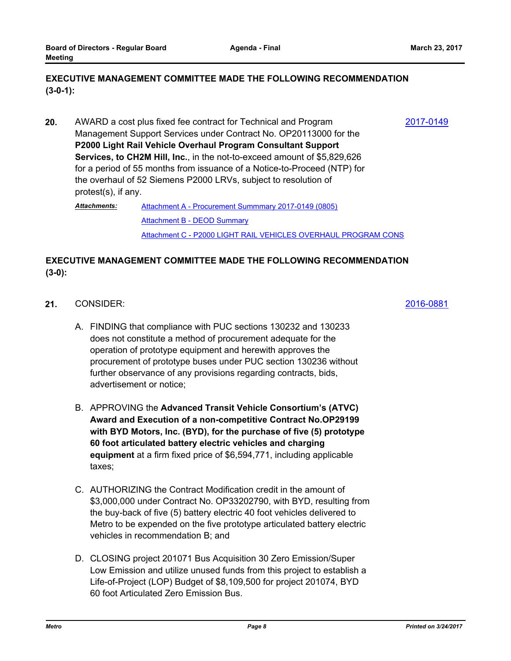## **EXECUTIVE MANAGEMENT COMMITTEE MADE THE FOLLOWING RECOMMENDATION (3-0-1):**

**20.** AWARD a cost plus fixed fee contract for Technical and Program  $\frac{2017-0149}{201}$  $\frac{2017-0149}{201}$  $\frac{2017-0149}{201}$ Management Support Services under Contract No. OP20113000 for the **P2000 Light Rail Vehicle Overhaul Program Consultant Support Services, to CH2M Hill, Inc.**, in the not-to-exceed amount of \$5,829,626 for a period of 55 months from issuance of a Notice-to-Proceed (NTP) for the overhaul of 52 Siemens P2000 LRVs, subject to resolution of protest(s), if any.

[Attachment A - Procurement Summmary 2017-0149 \(0805\)](http://metro.legistar.com/gateway.aspx?M=F&ID=0671df7a-23fb-48e5-a620-9b58123a4586.pdf) [Attachment B - DEOD Summary](http://metro.legistar.com/gateway.aspx?M=F&ID=5dfd25bc-76d5-43a4-9234-e1db327bfa7a.pdf) [Attachment C - P2000 LIGHT RAIL VEHICLES OVERHAUL PROGRAM CONS](http://metro.legistar.com/gateway.aspx?M=F&ID=ecb63e31-558e-4886-8ad9-4052bdadf0f3.pdf) *Attachments:*

## **EXECUTIVE MANAGEMENT COMMITTEE MADE THE FOLLOWING RECOMMENDATION (3-0):**

- CONSIDER: **21.** [2016-0881](http://metro.legistar.com/gateway.aspx?m=l&id=/matter.aspx?key=3677)
	- A. FINDING that compliance with PUC sections 130232 and 130233 does not constitute a method of procurement adequate for the operation of prototype equipment and herewith approves the procurement of prototype buses under PUC section 130236 without further observance of any provisions regarding contracts, bids, advertisement or notice;
	- B. APPROVING the **Advanced Transit Vehicle Consortium's (ATVC) Award and Execution of a non-competitive Contract No.OP29199 with BYD Motors, Inc. (BYD), for the purchase of five (5) prototype 60 foot articulated battery electric vehicles and charging equipment** at a firm fixed price of \$6,594,771, including applicable taxes;
	- C. AUTHORIZING the Contract Modification credit in the amount of \$3,000,000 under Contract No. OP33202790, with BYD, resulting from the buy-back of five (5) battery electric 40 foot vehicles delivered to Metro to be expended on the five prototype articulated battery electric vehicles in recommendation B; and
	- D. CLOSING project 201071 Bus Acquisition 30 Zero Emission/Super Low Emission and utilize unused funds from this project to establish a Life-of-Project (LOP) Budget of \$8,109,500 for project 201074, BYD 60 foot Articulated Zero Emission Bus.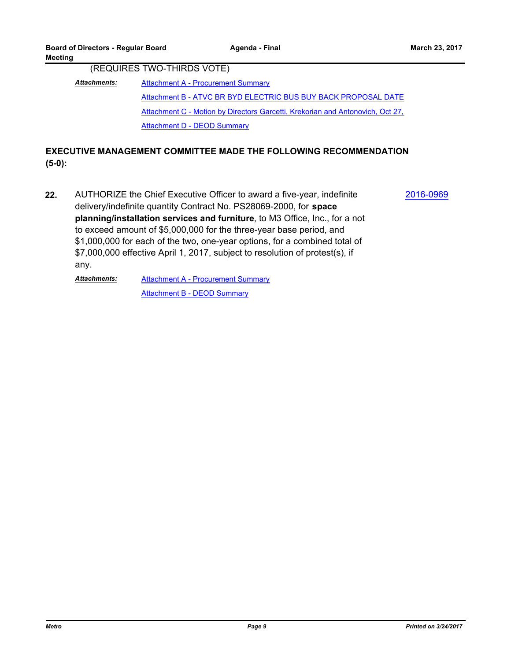(REQUIRES TWO-THIRDS VOTE)

**[Attachment A - Procurement Summary](http://metro.legistar.com/gateway.aspx?M=F&ID=69b0fc7c-2f44-40bf-a542-729e293d9e54.pdf)** [Attachment B - ATVC BR BYD ELECTRIC BUS BUY BACK PROPOSAL DATE](http://metro.legistar.com/gateway.aspx?M=F&ID=98cdab6f-71f5-4756-b8ef-14617b1c82dd.pdf) Attachment C - Motion by Directors Garcetti, Krekorian and Antonovich, Oct 27, [Attachment D - DEOD Summary](http://metro.legistar.com/gateway.aspx?M=F&ID=f3c0194f-136b-4422-83a6-01c7355eb238.pdf) *Attachments:*

## **EXECUTIVE MANAGEMENT COMMITTEE MADE THE FOLLOWING RECOMMENDATION (5-0):**

AUTHORIZE the Chief Executive Officer to award a five-year, indefinite **22.** [2016-0969](http://metro.legistar.com/gateway.aspx?m=l&id=/matter.aspx?key=3765) delivery/indefinite quantity Contract No. PS28069-2000, for **space planning/installation services and furniture**, to M3 Office, Inc., for a not to exceed amount of \$5,000,000 for the three-year base period, and \$1,000,000 for each of the two, one-year options, for a combined total of \$7,000,000 effective April 1, 2017, subject to resolution of protest(s), if any.

[Attachment A - Procurement Summary](http://metro.legistar.com/gateway.aspx?M=F&ID=eaa5463e-a8bd-4e8a-8537-c4ade0185fd3.pdf) [Attachment B - DEOD Summary](http://metro.legistar.com/gateway.aspx?M=F&ID=0fa8564a-b603-4ed3-800f-90ec29facff7.pdf) *Attachments:*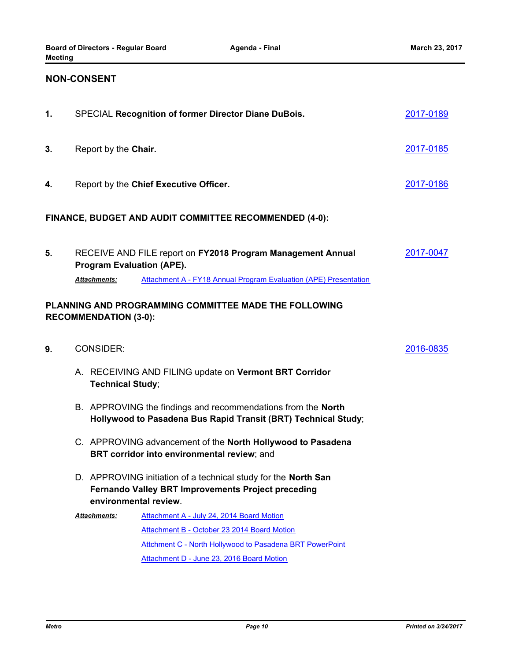## **NON-CONSENT**

| 1. |                                                         | SPECIAL Recognition of former Director Diane DuBois.                                                                                                                                                     | 2017-0189 |  |
|----|---------------------------------------------------------|----------------------------------------------------------------------------------------------------------------------------------------------------------------------------------------------------------|-----------|--|
| 3. |                                                         | 2017-0185<br>Report by the Chair.                                                                                                                                                                        |           |  |
| 4. | Report by the Chief Executive Officer.                  |                                                                                                                                                                                                          |           |  |
|    |                                                         | FINANCE, BUDGET AND AUDIT COMMITTEE RECOMMENDED (4-0):                                                                                                                                                   |           |  |
| 5. | <b>Program Evaluation (APE).</b><br><b>Attachments:</b> | RECEIVE AND FILE report on FY2018 Program Management Annual<br>Attachment A - FY18 Annual Program Evaluation (APE) Presentation                                                                          | 2017-0047 |  |
|    | <b>RECOMMENDATION (3-0):</b>                            | PLANNING AND PROGRAMMING COMMITTEE MADE THE FOLLOWING                                                                                                                                                    |           |  |
| 9. | <b>CONSIDER:</b>                                        |                                                                                                                                                                                                          | 2016-0835 |  |
|    | <b>Technical Study;</b>                                 | A. RECEIVING AND FILING update on Vermont BRT Corridor                                                                                                                                                   |           |  |
|    |                                                         | B. APPROVING the findings and recommendations from the North<br>Hollywood to Pasadena Bus Rapid Transit (BRT) Technical Study;                                                                           |           |  |
|    |                                                         | C. APPROVING advancement of the North Hollywood to Pasadena<br>BRT corridor into environmental review; and                                                                                               |           |  |
|    | environmental review.                                   | D. APPROVING initiation of a technical study for the North San<br><b>Fernando Valley BRT Improvements Project preceding</b>                                                                              |           |  |
|    | <b>Attachments:</b>                                     | Attachment A - July 24, 2014 Board Motion<br>Attachment B - October 23 2014 Board Motion<br><b>Attchment C - North Hollywood to Pasadena BRT PowerPoint</b><br>Attachment D - June 23, 2016 Board Motion |           |  |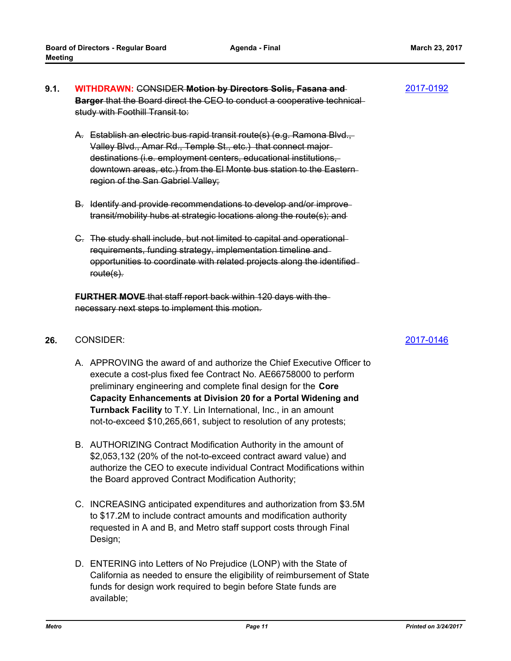- **WITHDRAWN:** CONSIDER **Motion by Directors Solis, Fasana and 9.1.** [2017-0192](http://metro.legistar.com/gateway.aspx?m=l&id=/matter.aspx?key=4002) **Barger** that the Board direct the CEO to conduct a cooperative technical study with Foothill Transit to:
	- A. Establish an electric bus rapid transit route(s) (e.g. Ramona Blvd., Valley Blvd., Amar Rd., Temple St., etc.) that connect major destinations (i.e. employment centers, educational institutions, downtown areas, etc.) from the El Monte bus station to the Eastern region of the San Gabriel Valley;
	- B. Identify and provide recommendations to develop and/or improve transit/mobility hubs at strategic locations along the route(s); and
	- C. The study shall include, but not limited to capital and operational requirements, funding strategy, implementation timeline and opportunities to coordinate with related projects along the identified route(s).

**FURTHER MOVE** that staff report back within 120 days with the necessary next steps to implement this motion.

#### CONSIDER: **26.** [2017-0146](http://metro.legistar.com/gateway.aspx?m=l&id=/matter.aspx?key=3956)

- A. APPROVING the award of and authorize the Chief Executive Officer to execute a cost-plus fixed fee Contract No. AE66758000 to perform preliminary engineering and complete final design for the **Core Capacity Enhancements at Division 20 for a Portal Widening and Turnback Facility** to T.Y. Lin International, Inc., in an amount not-to-exceed \$10,265,661, subject to resolution of any protests;
- B. AUTHORIZING Contract Modification Authority in the amount of \$2,053,132 (20% of the not-to-exceed contract award value) and authorize the CEO to execute individual Contract Modifications within the Board approved Contract Modification Authority;
- C. INCREASING anticipated expenditures and authorization from \$3.5M to \$17.2M to include contract amounts and modification authority requested in A and B, and Metro staff support costs through Final Design;
- D. ENTERING into Letters of No Prejudice (LONP) with the State of California as needed to ensure the eligibility of reimbursement of State funds for design work required to begin before State funds are available;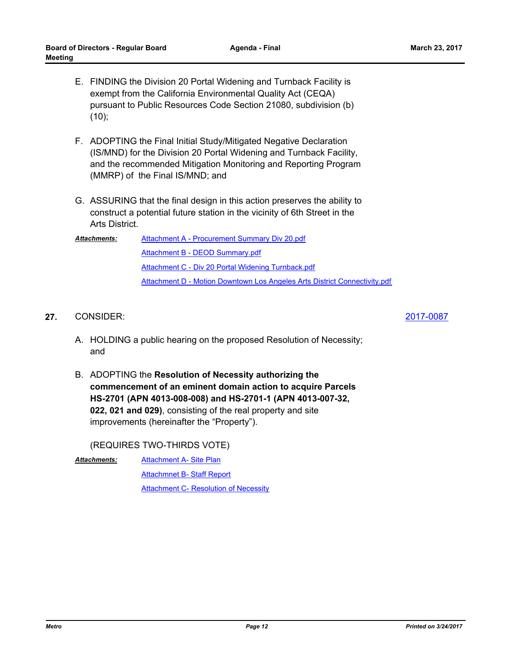- E. FINDING the Division 20 Portal Widening and Turnback Facility is exempt from the California Environmental Quality Act (CEQA) pursuant to Public Resources Code Section 21080, subdivision (b) (10);
- F. ADOPTING the Final Initial Study/Mitigated Negative Declaration (IS/MND) for the Division 20 Portal Widening and Turnback Facility, and the recommended Mitigation Monitoring and Reporting Program (MMRP) of the Final IS/MND; and
- G. ASSURING that the final design in this action preserves the ability to construct a potential future station in the vicinity of 6th Street in the Arts District.

| <b>Attachments:</b> | Attachment A - Procurement Summary Div 20.pdf                             |
|---------------------|---------------------------------------------------------------------------|
|                     | Attachment B - DEOD Summary.pdf                                           |
|                     | Attachment C - Div 20 Portal Widening Turnback.pdf                        |
|                     | Attachment D - Motion Downtown Los Angeles Arts District Connectivity.pdf |

#### CONSIDER: **27.** [2017-0087](http://metro.legistar.com/gateway.aspx?m=l&id=/matter.aspx?key=3897)

- A. HOLDING a public hearing on the proposed Resolution of Necessity; and
- B. ADOPTING the **Resolution of Necessity authorizing the commencement of an eminent domain action to acquire Parcels HS-2701 (APN 4013-008-008) and HS-2701-1 (APN 4013-007-32, 022, 021 and 029)**, consisting of the real property and site improvements (hereinafter the "Property").

(REQUIRES TWO-THIRDS VOTE)

[Attachment A- Site Plan](http://metro.legistar.com/gateway.aspx?M=F&ID=03cc9155-2a73-4306-ae5e-a16e678c350b.pdf) [Attachmnet B- Staff Report](http://metro.legistar.com/gateway.aspx?M=F&ID=86f1ecb1-f133-4202-864f-0197f18bb098.pdf) **[Attachment C- Resolution of Necessity](http://metro.legistar.com/gateway.aspx?M=F&ID=8a35b05f-75d3-4224-a284-9fec8822d501.pdf)** *Attachments:*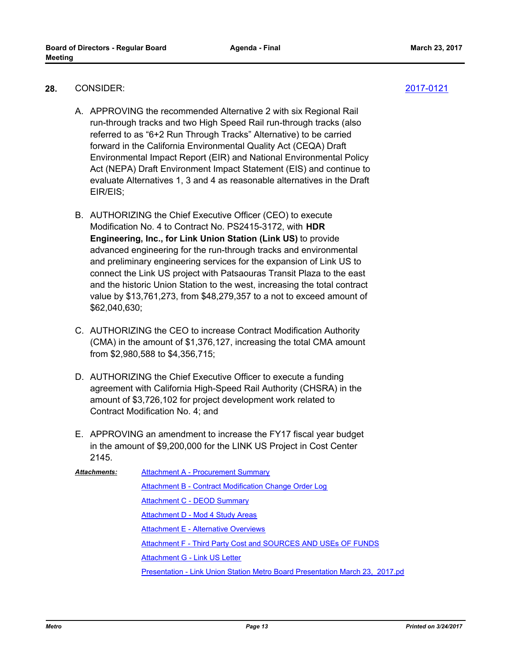- CONSIDER: **28.** [2017-0121](http://metro.legistar.com/gateway.aspx?m=l&id=/matter.aspx?key=3931)
	- A. APPROVING the recommended Alternative 2 with six Regional Rail run-through tracks and two High Speed Rail run-through tracks (also referred to as "6+2 Run Through Tracks" Alternative) to be carried forward in the California Environmental Quality Act (CEQA) Draft Environmental Impact Report (EIR) and National Environmental Policy Act (NEPA) Draft Environment Impact Statement (EIS) and continue to evaluate Alternatives 1, 3 and 4 as reasonable alternatives in the Draft EIR/EIS;
	- B. AUTHORIZING the Chief Executive Officer (CEO) to execute Modification No. 4 to Contract No. PS2415-3172, with **HDR Engineering, Inc., for Link Union Station (Link US)** to provide advanced engineering for the run-through tracks and environmental and preliminary engineering services for the expansion of Link US to connect the Link US project with Patsaouras Transit Plaza to the east and the historic Union Station to the west, increasing the total contract value by \$13,761,273, from \$48,279,357 to a not to exceed amount of \$62,040,630;
	- C. AUTHORIZING the CEO to increase Contract Modification Authority (CMA) in the amount of \$1,376,127, increasing the total CMA amount from \$2,980,588 to \$4,356,715;
	- D. AUTHORIZING the Chief Executive Officer to execute a funding agreement with California High-Speed Rail Authority (CHSRA) in the amount of \$3,726,102 for project development work related to Contract Modification No. 4; and
	- E. APPROVING an amendment to increase the FY17 fiscal year budget in the amount of \$9,200,000 for the LINK US Project in Cost Center 2145.

| <b>Attachments:</b> | <b>Attachment A - Procurement Summary</b>                                    |
|---------------------|------------------------------------------------------------------------------|
|                     | Attachment B - Contract Modification Change Order Log                        |
|                     | Attachment C - DEOD Summary                                                  |
|                     | Attachment D - Mod 4 Study Areas                                             |
|                     | <b>Attachment E - Alternative Overviews</b>                                  |
|                     | <b>Attachment F - Third Party Cost and SOURCES AND USEs OF FUNDS</b>         |
|                     | Attachment G - Link US Letter                                                |
|                     | Presentation - Link Union Station Metro Board Presentation March 23, 2017.pd |
|                     |                                                                              |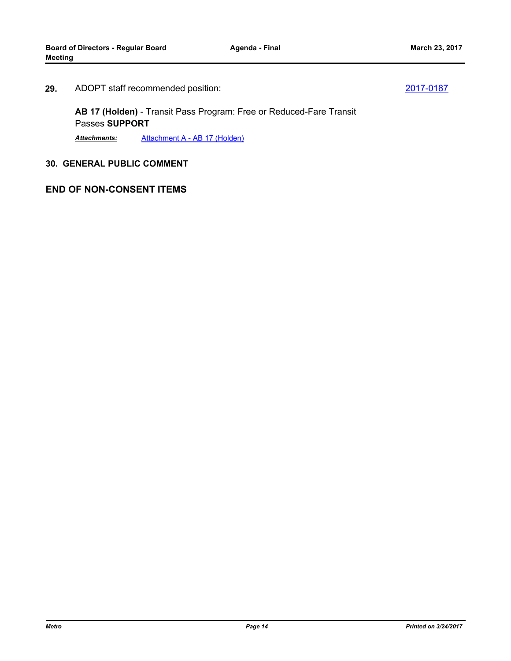#### ADOPT staff recommended position: **29.** [2017-0187](http://metro.legistar.com/gateway.aspx?m=l&id=/matter.aspx?key=3997)

**AB 17 (Holden)** - Transit Pass Program: Free or Reduced-Fare Transit Passes **SUPPORT**

*Attachments:* [Attachment A - AB 17 \(Holden\)](http://metro.legistar.com/gateway.aspx?M=F&ID=cad11afd-303b-4cc9-9e35-1248bde9ea81.pdf)

## **30. GENERAL PUBLIC COMMENT**

## **END OF NON-CONSENT ITEMS**